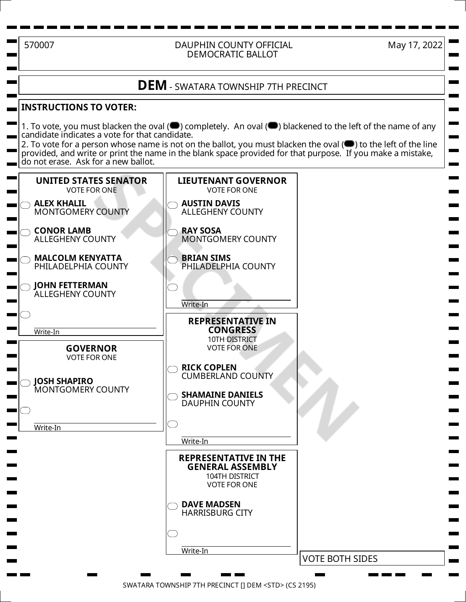## 570007 DAUPHIN COUNTY OFFICIAL DEMOCRATIC BALLOT

May 17, 2022

## **DEM** - SWATARA TOWNSHIP 7TH PRECINCT

## **INSTRUCTIONS TO VOTER:**

1. To vote, you must blacken the oval ( $\blacksquare$ ) completely. An oval ( $\blacksquare$ ) blackened to the left of the name of any candidate indicates a vote for that candidate.

2. To vote for a person whose name is not on the ballot, you must blacken the oval  $($ **)** to the left of the line provided, and write or print the name in the blank space provided for that purpose. If you make a mistake, do not erase. Ask for a new ballot.